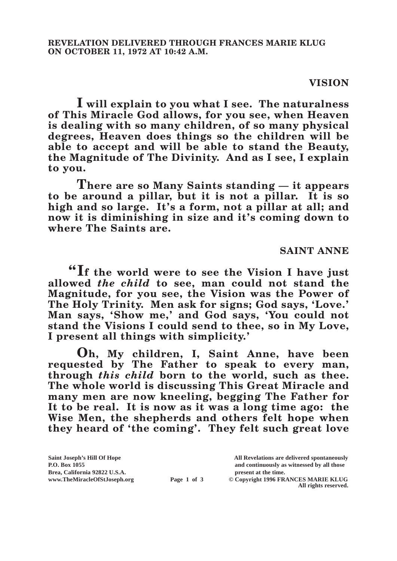## **VISION**

**I will explain to you what I see. The naturalness of This Miracle God allows, for you see, when Heaven is dealing with so many children, of so many physical degrees, Heaven does things so the children will be able to accept and will be able to stand the Beauty, the Magnitude of The Divinity. And as I see, I explain to you.**

**There are so Many Saints standing — it appears to be around a pillar, but it is not a pillar. It is so high and so large. It's a form, not a pillar at all; and now it is diminishing in size and it's coming down to where The Saints are.**

## **SAINT ANNE**

**"If the world were to see the Vision I have just allowed** *the child* **to see, man could not stand the Magnitude, for you see, the Vision was the Power of The Holy Trinity. Men ask for signs; God says, 'Love.' Man says, 'Show me,' and God says, 'You could not stand the Visions I could send to thee, so in My Love, I present all things with simplicity.'**

**Oh, My children, I, Saint Anne, have been requested by The Father to speak to every man, through** *this child* **born to the world, such as thee. The whole world is discussing This Great Miracle and many men are now kneeling, begging The Father for It to be real. It is now as it was a long time ago: the Wise Men, the shepherds and others felt hope when they heard of 'the coming'. They felt such great love** 

**P.O. Box 1055 and continuously as witnessed by all those** 

**Page 1 of 3** © Copyright 1996 FRANCES MARIE KLUG **All rights reserved.**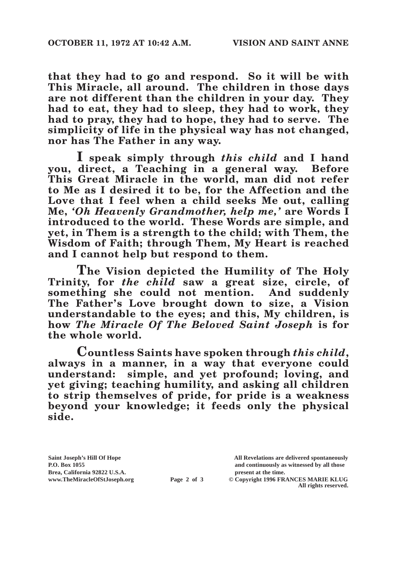**that they had to go and respond. So it will be with This Miracle, all around. The children in those days are not different than the children in your day. They had to eat, they had to sleep, they had to work, they had to pray, they had to hope, they had to serve. The simplicity of life in the physical way has not changed, nor has The Father in any way.**

**I speak simply through** *this child* **and I hand you, direct, a Teaching in a general way. Before This Great Miracle in the world, man did not refer to Me as I desired it to be, for the Affection and the Love that I feel when a child seeks Me out, calling Me,** *'Oh Heavenly Grandmother, help me,'* **are Words I introduced to the world. These Words are simple, and yet, in Them is a strength to the child; with Them, the Wisdom of Faith; through Them, My Heart is reached and I cannot help but respond to them.**

**The Vision depicted the Humility of The Holy Trinity, for** *the child* **saw a great size, circle, of something she could not mention. And suddenly The Father's Love brought down to size, a Vision understandable to the eyes; and this, My children, is how** *The Miracle Of The Beloved Saint Joseph* **is for the whole world.**

**Countless Saints have spoken through** *this child***, always in a manner, in a way that everyone could understand: simple, and yet profound; loving, and yet giving; teaching humility, and asking all children to strip themselves of pride, for pride is a weakness beyond your knowledge; it feeds only the physical side.**

Brea, California 92822 U.S.A.<br>
www.TheMiracleOfStJoseph.org<br> **Page 2 of 3** © Copyright 1996 FR.

**Saint Joseph's Hill Of Hope All Revelations are delivered spontaneously P.O. Box 1055 and continuously as witnessed by all those** 

**Page 2 of 3** © Copyright 1996 FRANCES MARIE KLUG **All rights reserved.**